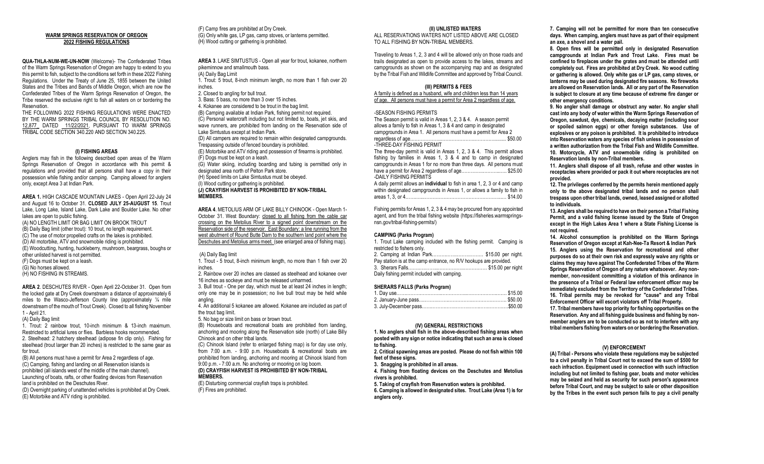## **WARM SPRINGS RESERVATION OF OREGON 2022 FISHING REGULATIONS**

**QUA-THLA-NUM-WE-UN-NOW** (Welcome)- The Confederated Tribes of the Warm Springs Reservation of Oregon are happy to extend to you this permit to fish, subject to the conditions set forth in these 2022 Fishing Regulations. Under the Treaty of June 25, 1855 between the United States and the Tribes and Bands of Middle Oregon, which are now the Confederated Tribes of the Warm Springs Reservation of Oregon, the Tribe reserved the exclusive right to fish all waters on or bordering the Reservation.

THE FOLLOWING 2022 FISHING REGULATIONS WERE ENACTED BY THE WARM SPRINGS TRIBAL COUNCIL BY RESOLUTION NO. 12,877\_ DATED 11/22/2021, PURSUANT TO WARM SPRINGS TRIBAL CODE SECTION 340.220 AND SECTION 340.225.

## **(I) FISHING AREAS**

Anglers may fish in the following described open areas of the Warm Springs Reservation of Oregon in accordance with this permit & regulations and provided that all persons shall have a copy in their possession while fishing and/or camping. Camping allowed for anglers only, except Area 3 at Indian Park.

**AREA 1.** HIGH CASCADE MOUNTAIN LAKES - Open April 22-July 24 and August 16 to October 31. **CLOSED JULY 25-AUGUST 15**. Trout Lake, Long Lake, Island Lake, Dark Lake and Boulder Lake. No other lakes are open to public fishing. (A) NO LENGTH LIMIT OR BAG LIMIT ON BROOK TROUT (B) Daily Bag limit (other trout): 10 trout, no length requirement. (C) The use of motor propelled crafts on the lakes is prohibited. (D) All motorbike, ATV and snowmobile riding is prohibited. (E) Woodcutting, hunting, huckleberry, mushroom, beargrass, boughs or other unlisted harvest is not permitted. (F) Dogs must be kept on a leash. (G) No horses allowed. (H) NO FISHING IN STREAMS.

**AREA 2**. DESCHUTES RIVER - Open April 22-October 31. Open from the locked gate at Dry Creek downstream a distance of approximately 6 miles to the Wasco-Jefferson County line (approximately ¼ mile downstream of the mouth of Trout Creek). Closed to all fishing November 1 - April 21.

# (A) Daily Bag limit

1. Trout: 2 rainbow trout, 10-inch minimum & 13-inch maximum. Restricted to artificial lures or flies. Barbless hooks recommended. 2. Steelhead: 2 hatchery steelhead (adipose fin clip only). Fishing for steelhead (trout larger than 20 inches) is restricted to the same gear as for trout.

(B) All persons must have a permit for Area 2 regardless of age. (C) Camping, fishing and landing on all Reservation islands is prohibited (all islands west of the middle of the main channel). Launching of boats, rafts, or other floating devices from Reservation land is prohibited on the Deschutes River. (D) Overnight parking of unattended vehicles is prohibited at Dry Creek.

(E) Motorbike and ATV riding is prohibited.

(F) Camp fires are prohibited at Dry Creek. (G) Only white gas, LP gas, camp stoves, or lanterns permitted. (H) Wood cutting or gathering is prohibited.

**AREA 3**. LAKE SIMTUSTUS - Open all year for trout, kokanee, northern pikeminnow and smallmouth bass. (A) Daily Bag Limit

1. Trout: 5 trout, 8-inch minimum length, no more than 1 fish over 20 inches.

- 2. Closed to angling for bull trout.
- 3. Bass: 5 bass, no more than 3 over 15 inches.
- 4. Kokanee are considered to be trout in the bag limit.
- (B) Camping available at Indian Park, fishing permit not required. (C) Personal watercraft including but not limited to, boats, jet skis, and wave runners, are prohibited from landing on the Reservation side of

Lake Simtustus except at Indian Park. (D) All campers are required to remain within designated campgrounds. Trespassing outside of fenced boundary is prohibited.

(E) Motorbike and ATV riding and possession of firearms is prohibited. (F) Dogs must be kept on a leash.

(G) Water skiing, including boarding and tubing is permitted only in designated area north of Pelton Park store.

- (H) Speed limits on Lake Simtustus must be obeyed.
- (I) Wood cutting or gathering is prohibited.

**(J) CRAYFISH HARVEST IS PROHIBITED BY NON-TRIBAL MEMBERS.**

## **AREA 4**. METOLIUS ARM OF LAKE BILLY CHINOOK - Open March 1- October 31. West Boundary: closed to all fishing from the cable car crossing on the Metolius River to a signed point downstream on the Reservation side of the reservoir. East Boundary: a line running from the west abutment of Round Butte Dam to the southern land point where the Deschutes and Metolius arms meet. (see enlarged area of fishing map).

(A) Daily Bag limit

1. Trout - 5 trout, 8-inch minimum length, no more than 1 fish over 20 inches.

2. Rainbow over 20 inches are classed as steelhead and kokanee over 16 inches as sockeye and must be released unharmed.

3. Bull trout - One per day, which must be at least 24 inches in length; only one may be in possession; no live bull trout may be held while angling.

4. An additional 5 kokanee are allowed. Kokanee are included as part of the trout bag limit.

5. No bag or size limit on bass or brown trout.

(B) Houseboats and recreational boats are prohibited from landing, anchoring and mooring along the Reservation side (north) of Lake Billy Chinook and on other tribal lands.

(C) Chinook Island (refer to enlarged fishing map) is for day use only, from 7:00 a.m. - 9:00 p.m. Houseboats & recreational boats are prohibited from landing, anchoring and mooring at Chinook Island from 9:00 p.m. - 7:00 a.m. No anchoring or mooring on log boom. **(D) CRAYFISH HARVEST IS PROHIBITED BY NON-TRIBAL** 

# **MEMBERS.**

(E) Disturbing commercial crayfish traps is prohibited. (F) Fires are prohibited.

#### **(II) UNLISTED WATERS**

ALL RESERVATIONS WATERS NOT LISTED ABOVE ARE CLOSED TO ALL FISHING BY NON-TRIBAL MEMBERS.

Traveling to Areas 1, 2, 3 and 4 will be allowed only on those roads and trails designated as open to provide access to the lakes, streams and campgrounds as shown on the accompanying map and as designated by the Tribal Fish and Wildlife Committee and approved by Tribal Council.

#### **(III) PERMITS & FEES**

A family is defined as a husband, wife and children less than 14 years of age. All persons must have a permit for Area 2 regardless of age.

## -SEASON FISHING PERMITS

The Season permit is valid in Areas 1, 2, 3 & 4. A season permit allows a family to fish in Areas 1, 3 & 4 and camp in designated campgrounds in Area 1. All persons must have a permit for Area 2 regardless of age.……………….………………….……….…......... \$50.00 -THREE-DAY FISHING PERMIT

The three-day permit is valid in Areas 1, 2, 3 & 4. This permit allows fishing by families in Areas 1, 3 & 4 and to camp in designated campgrounds in Areas 1 for no more than three days. All persons must have a permit for Area 2 regardless of age................................\$25.00 -DAILY FISHING PERMITS

A daily permit allows an **individual** to fish in area 1, 2, 3 or 4 and camp within designated campgrounds in Areas 1, or allows a family to fish in areas 1, 3, or 4………...…………………………………………...… \$14.00

Fishing permits for Areas 1, 2, 3 & 4 may be procured from any appointed agent, and from the tribal fishing website (https://fisheries.warmspringsnsn.gov/tribal-fishing-permits/)

#### **CAMPING (Parks Program)**

1. Trout Lake camping included with the fishing permit. Camping is restricted to fishers only. 2. Camping at Indian Park…………………………… \$15.00 per night.

| Pay station is at the camp entrance, no R/V hookups are provided. |  |
|-------------------------------------------------------------------|--|
|                                                                   |  |
| Daily fishing permit included with camping.                       |  |

# **SHERARS FALLS (Parks Program)**

#### **(IV) GENERAL RESTRICTIONS**

**1. No anglers shall fish in the above-described fishing areas when posted with any sign or notice indicating that such an area is closed to fishing.**

**2. Critical spawning areas are posted. Please do not fish within 100 feet of these signs.** 

**3. Snagging is prohibited in all areas.**

**4. Fishing from floating devices on the Deschutes and Metolius rivers is prohibited.**

**5. Taking of crayfish from Reservation waters is prohibited. 6. Camping is allowed in designated sites. Trout Lake (Area 1) is for anglers only.** 

**7. Camping will not be permitted for more than ten consecutive days. When camping, anglers must have as part of their equipment an axe, a shovel and a water pail.**

**8. Open fires will be permitted only in designated Reservation campgrounds at Indian Park and Trout Lake. Fires must be confined to fireplaces under the grates and must be attended until completely out. Fires are prohibited at Dry Creek. No wood cutting or gathering is allowed. Only white gas or LP gas, camp stoves, or lanterns may be used during designated fire seasons. No fireworks are allowed on Reservation lands. All or any part of the Reservation is subject to closure at any time because of extreme fire danger or other emergency conditions.**

**9. No angler shall damage or obstruct any water. No angler shall cast into any body of water within the Warm Springs Reservation of Oregon, sawdust, dye, chemicals, decaying matter (including sour or spoiled salmon eggs) or other foreign substances. Use of explosives or any poison is prohibited. It is prohibited to introduce into Reservation waters any species of fish unless in possession of a written authorization from the Tribal Fish and Wildlife Committee. 10. Motorcycle, ATV and snowmobile riding is prohibited on Reservation lands by non-Tribal members.**

**11. Anglers shall dispose of all trash, refuse and other wastes in receptacles where provided or pack it out where receptacles are not provided.** 

**12. The privileges conferred by the permits herein mentioned apply only to the above designated tribal lands and no person shall trespass upon other tribal lands, owned, leased assigned or allotted to individuals.**

**13. Anglers shall be required to have on their person a Tribal Fishing Permit, and a valid fishing license issued by the State of Oregon except in the High Lakes Area 1 where a State Fishing License is not required.**

**14. Alcohol consumption is prohibited on the Warm Springs Reservation of Oregon except at Kah-Nee-Ta Resort & Indian Park 15. Anglers using the Reservation for recreational and other purposes do so at their own risk and expressly waive any rights or claims they may have against The Confederated Tribes of the Warm Springs Reservation of Oregon of any nature whatsoever. Any nonmember, non-resident committing a violation of this ordinance in the presence of a Tribal or Federal law enforcement officer may be immediately excluded from the Territory of the Confederated Tribes. 16. Tribal permits may be revoked for "cause" and any Tribal Enforcement Officer will escort violators off Tribal Property.**

**17. Tribal members have top priority for fishing opportunities on the Reservation. Any and all fishing guide business and fishing by nonmember anglers are to be conducted so as not to interfere with any tribal members fishing from waters on or bordering the Reservation.**

## **(V) ENFORCEMENT**

**(A) Tribal - Persons who violate these regulations may be subjected to a civil penalty in Tribal Court not to exceed the sum of \$500 for each infraction. Equipment used in connection with such infraction including but not limited to fishing gear, boats and motor vehicles may be seized and held as security for such person's appearance before Tribal Court, and may be subject to sale or other disposition by the Tribes in the event such person fails to pay a civil penalty**